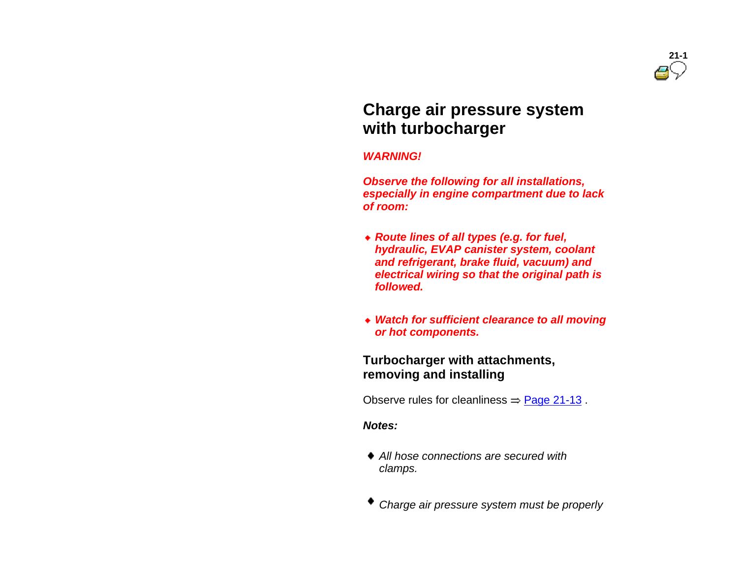# **Charge air pressure system with turbocharger**

#### *WARNING!*

 *Observe the following for all installations, especially in engine compartment due to lack of room:*

- *Route lines of all types (e.g. for fuel, hydraulic, EVAP canister system, coolant and refrigerant, brake fluid, vacuum) and electrical wiring so that the original path is followed.*
- *Watch for sufficient clearance to all moving or hot components.*

### **Turbocharger with attachments, removing and installing**

Observe rules for cleanliness  $=$  Page 21-13.

### *Notes:*

- *All hose connections are secured with clamps.*
- *Charge air pressure system must be properly*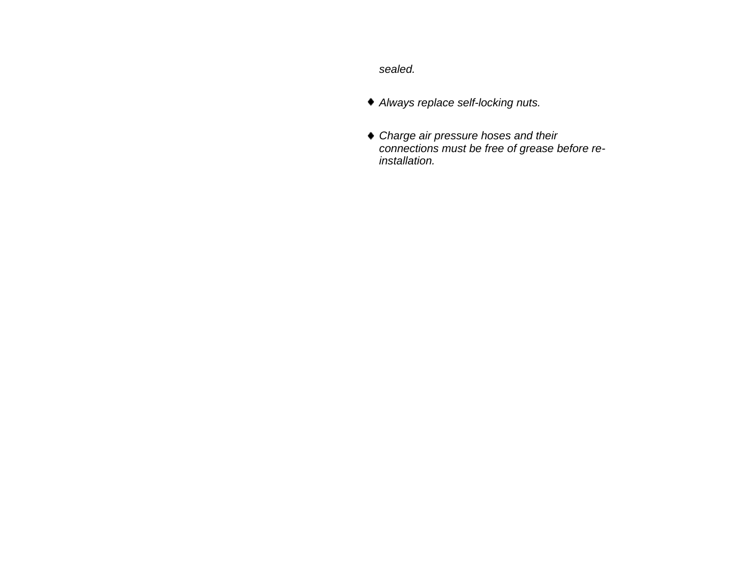*sealed.*

- *Always replace self-locking nuts.*
- *Charge air pressure hoses and their connections must be free of grease before reinstallation.*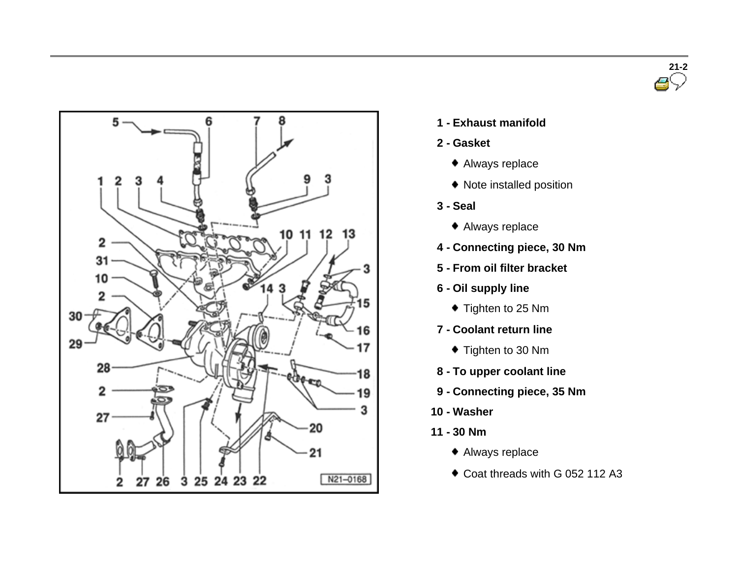



- **1 - Exhaust manifold**
- **2 - Gasket**
	- Always replace
	- Note installed position
- **3 - Seal**
	- Always replace
- **4 - Connecting piece, 30 Nm**
- **5 - From oil filter bracket**
- **6 - Oil supply line**
	- ◆ Tighten to 25 Nm
- **7 - Coolant return line**
	- ◆ Tighten to 30 Nm
- **8 - To upper coolant line**
- **9 - Connecting piece, 35 Nm**
- **10 - Washer**
- **11 - 30 Nm**
	- Always replace
	- Coat threads with G 052 112 A3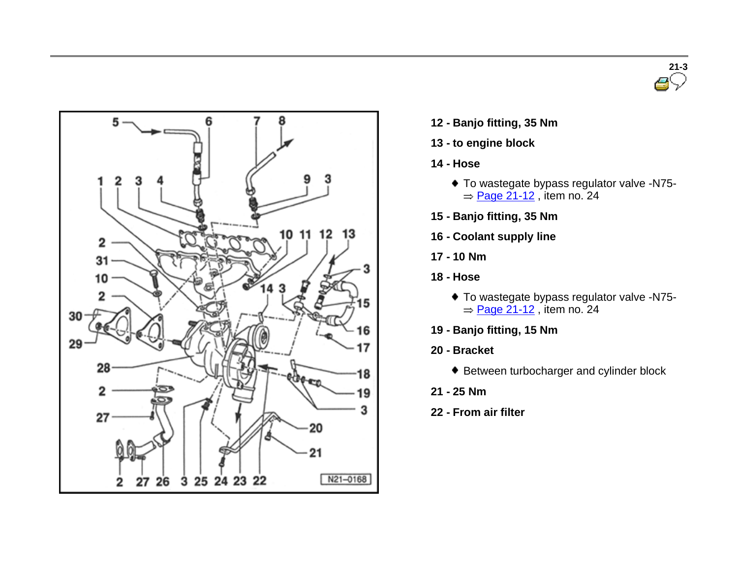



- **12 - Banjo fitting, <sup>35</sup> Nm**
- **13 - to engine block**
- **14 - Hose**
	- To wastegate bypass regulator valve -N75-  $=$  Page 21-12, item no. 24
- **15 - Banjo fitting, 35 Nm**
- **16 - Coolant supply line**
- **17 - 10 Nm**
- **18 - Hose**
	- To wastegate bypass regulator valve -N75-  $=$  Page 21-12, item no. 24
- **19 - Banjo fitting, 15 Nm**
- **20 - Bracket**
	- Between turbocharger and cylinder block
- **21 - 25 Nm**
- **22 - From air filter**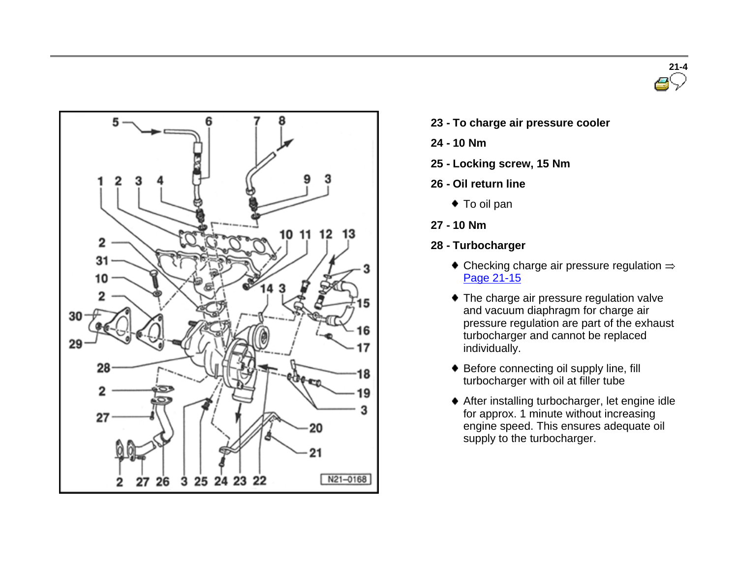



- **23 - To charge air pressure cooler**
- **24 - 10 Nm**
- **25 - Locking screw, 15 Nm**
- **26 - Oil return line**
	- ◆ To oil pan
- **27 - 10 Nm**
- **28 - Turbocharger**
	- $\bullet$  Checking charge air pressure regulation  $\Rightarrow$ Page 21-15
	- The charge air pressure regulation valve and vacuum diaphragm for charge air pressure regulation are part of the exhaust turbocharger and cannot be replaced individually.
	- ◆ Before connecting oil supply line, fill turbocharger with oil at filler tube
	- After installing turbocharger, let engine idle for approx. 1 minute without increasing engine speed. This ensures adequate oil supply to the turbocharger.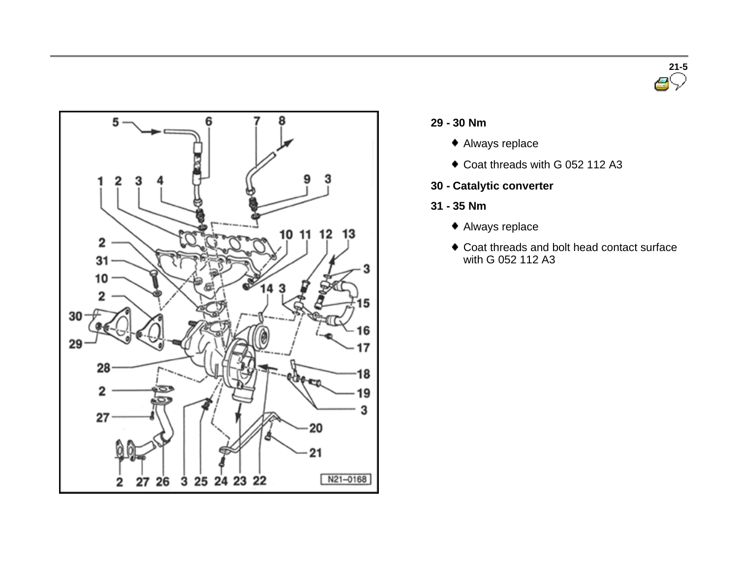



### **29 - <sup>30</sup> Nm**

- Always replace
- Coat threads with G 052 112 A3
- **30 - Catalytic converter**
- **31 - 35 Nm**
	- Always replace
	- Coat threads and bolt head contact surface with G 052 112 A3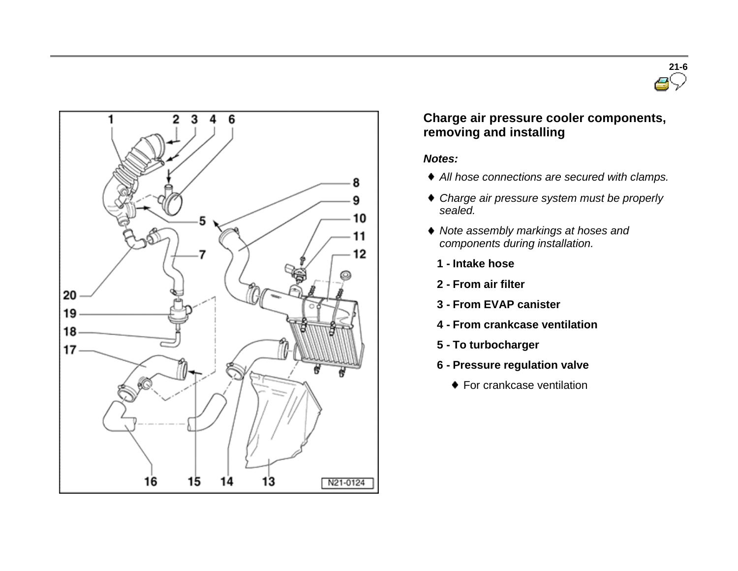



## **Charge air pressure cooler components, removing and installing**

#### *Notes:*

- *All hose connections are secured with clamps.*
- *Charge air pressure system must be properly sealed.*
- *Note assembly markings at hoses and components during installation.*
	- **1 - Intake hose**
	- **2 - From air filter**
	- **3 - From EVAP canister**
	- **4 - From crankcase ventilation**
	- **5 - To turbocharger**
	- **6 - Pressure regulation valve**
		- ◆ For crankcase ventilation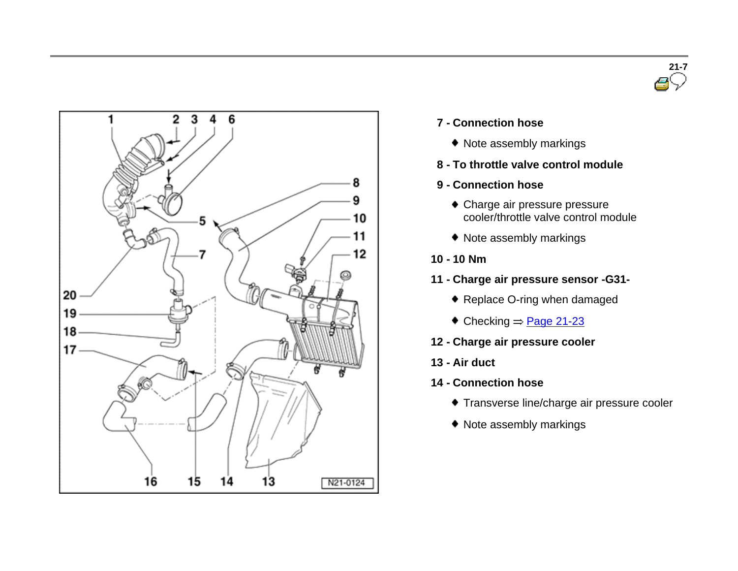



- **7 - Connection hose**
	- Note assembly markings
- **8 - To throttle valve control module**
- **9 - Connection hose**
	- Charge air pressure pressure cooler/throttle valve control module
	- Note assembly markings
- **10 - 10 Nm**
- **11 - Charge air pressure sensor -G31-**
	- ◆ Replace O-ring when damaged
	- $\textcolor{blue}{\bullet}$  Checking  $\Rightarrow$  Page 21-23
- **12 - Charge air pressure cooler**
- **13 - Air duct**
- **14 - Connection hose**
	- Transverse line/charge air pressure cooler
	- Note assembly markings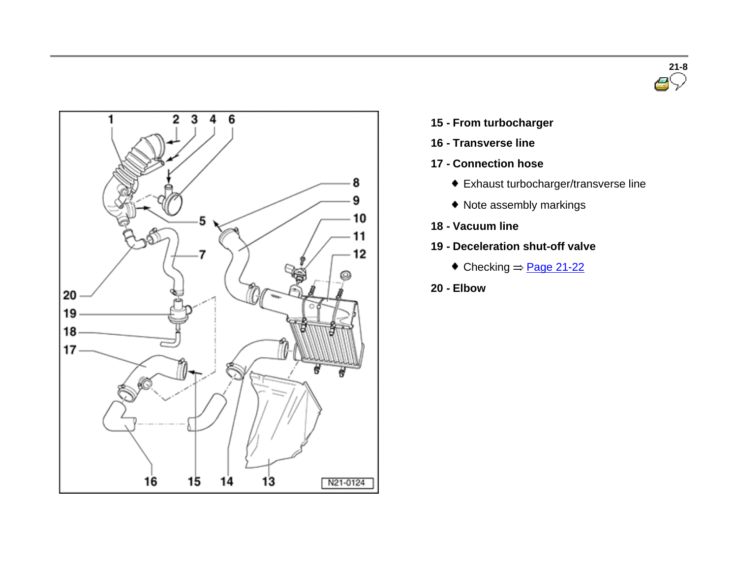



- **15 - From turbocharger**
- **16 - Transverse line**
- **17 - Connection hose**
	- Exhaust turbocharger/transverse line
	- Note assembly markings
- **18 - Vacuum line**
- **19 - Deceleration shut-off valve**
	- $\bullet$  Checking  $\Rightarrow$  Page 21-22
- **20 - Elbow**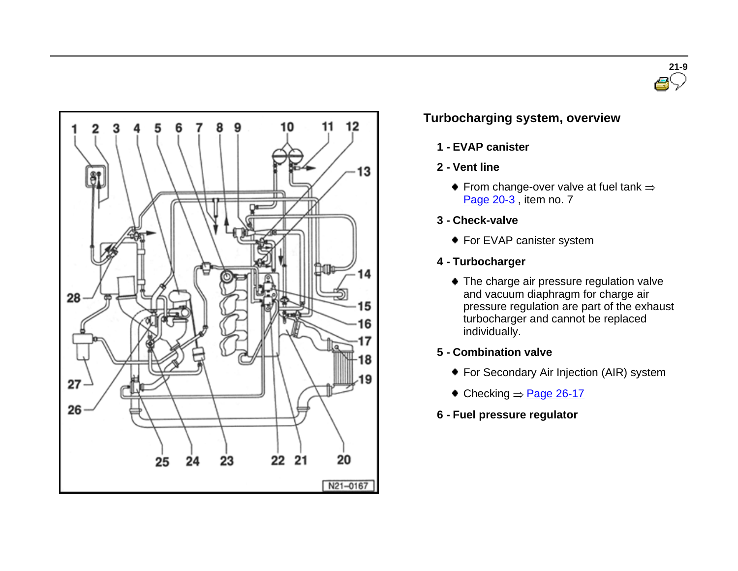



# **Turbocharging system, overview**

- **1 - EVAP canister**
- **2 - Vent line**
	- $\bullet$  From change-over valve at fuel tank  $\Rightarrow$ Page 20-3, item no. 7
- **3 - Check-valve**
	- ◆ For EVAP canister system
- **4 - Turbocharger**
	- ◆ The charge air pressure regulation valve and vacuum diaphragm for charge air pressure regulation are part of the exhaust turbocharger and cannot be replaced individually.
- **5 - Combination valve**
	- For Secondary Air Injection (AIR) system
	- $\triangle$  Checking  $\Rightarrow$  Page 26-17
- **6 - Fuel pressure regulator**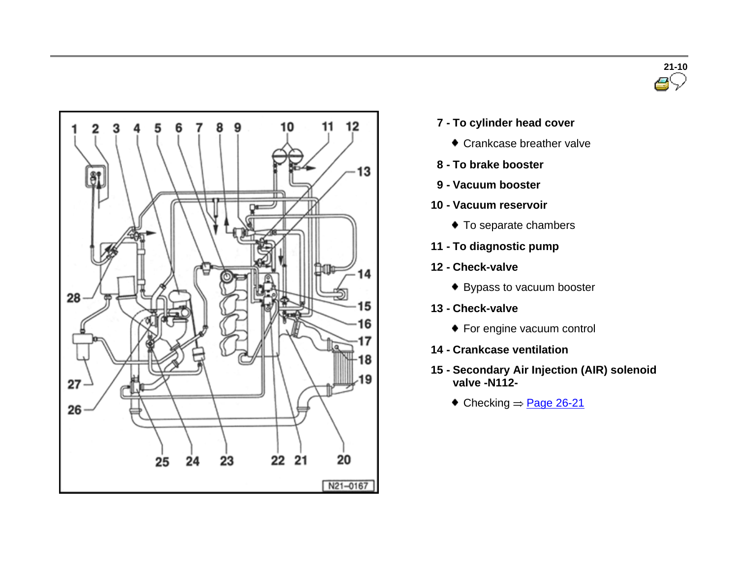



- **7 - To cylinder head cover**
	- Crankcase breather valve
- **8 - To brake booster**
- **9 - Vacuum booster**
- **10 - Vacuum reservoir**
	- $\bullet$  To separate chambers
- **11 - To diagnostic pump**
- **12 - Check-valve**
	- ◆ Bypass to vacuum booster
- **13 - Check-valve**
	- ◆ For engine vacuum control
- **14 - Crankcase ventilation**
- **15 - Secondary Air Injection (AIR) solenoid valve -N112-**
	- $\textcolor{blue}{\bullet}$  Checking  $\Rightarrow$  Page 26-21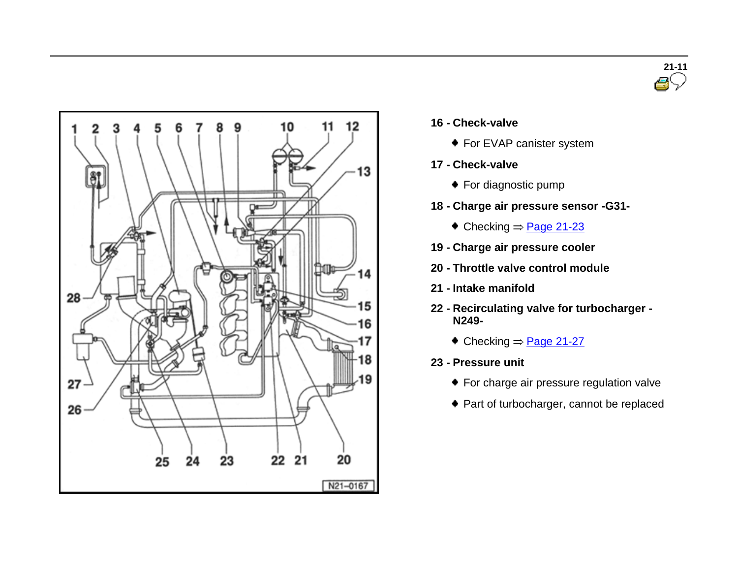



- **16 - Check-valve**
	- ◆ For EVAP canister system
- **17 - Check-valve**
	- ◆ For diagnostic pump
- **18 - Charge air pressure sensor -G31-**
	- $\bullet$  Checking  $=$  Page 21-23
- **19 - Charge air pressure cooler**
- **20 - Throttle valve control module**
- **21 - Intake manifold**
- **22 - Recirculating valve for turbocharger - N249-**
	- $\bullet$  Checking  $\Rightarrow$  Page 21-27
- **23 - Pressure unit**
	- For charge air pressure regulation valve
	- Part of turbocharger, cannot be replaced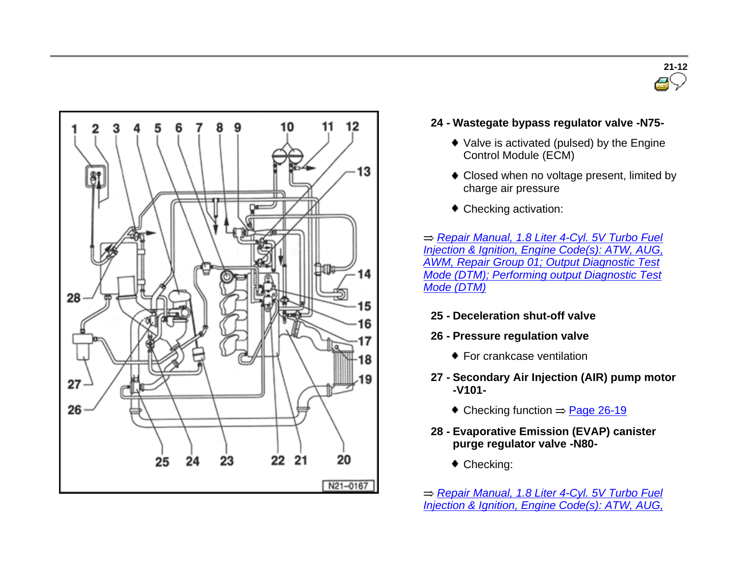



### **24 - Wastegate bypass regulator valve -N75-**

- Valve is activated (pulsed) by the Engine Control Module (ECM)
- Closed when no voltage present, limited by charge air pressure
- Checking activation:

*Repair Manual, 1.8 Liter 4-Cyl. 5V Turbo Fuel Injection & Ignition, Engine Code(s): ATW, AUG, AWM, Repair Group 01; Output Diagnostic Test Mode (DTM); Performing output Diagnostic Test Mode (DTM)*

- **25 - Deceleration shut-off valve**
- **26 - Pressure regulation valve**
	- **For crankcase ventilation**
- **27 - Secondary Air Injection (AIR) pump motor -V101-**
	- $\bullet$  Checking function  $\Rightarrow$  Page 26-19
- **28 - Evaporative Emission (EVAP) canister purge regulator valve -N80-**
	- ◆ Checking:
- *Repair Manual, 1.8 Liter 4-Cyl. 5V Turbo Fuel Injection & Ignition, Engine Code(s): ATW, AUG,*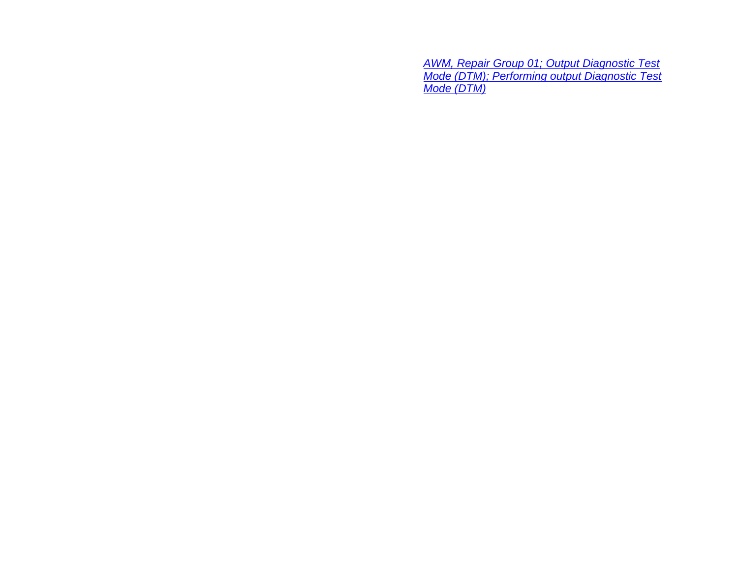*AWM, Repair Group 01; Output Diagnostic Test Mode (DTM); Performing output Diagnostic Test Mode (DTM)*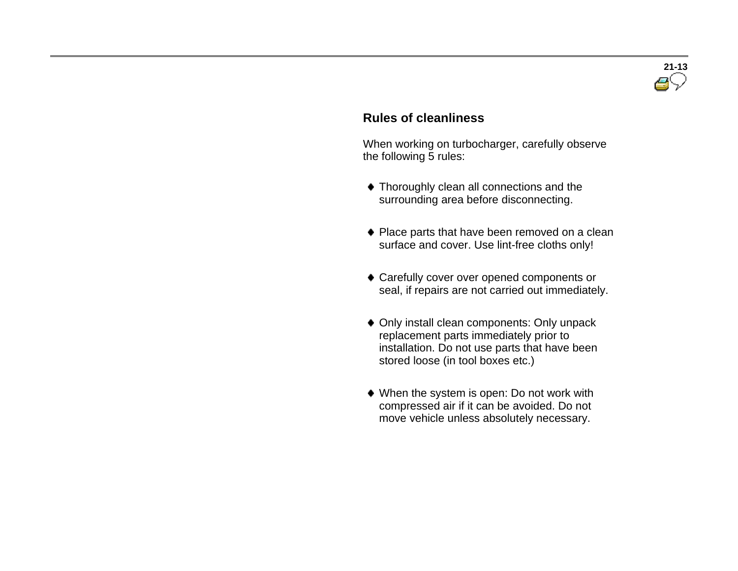

### **Rules of cleanliness**

 When working on turbocharger, carefully observe the following 5 rules:

- Thoroughly clean all connections and the surrounding area before disconnecting.
- ◆ Place parts that have been removed on a clean surface and cover. Use lint-free cloths only!
- Carefully cover over opened components or seal, if repairs are not carried out immediately.
- Only install clean components: Only unpack replacement parts immediately prior to installation. Do not use parts that have been stored loose (in tool boxes etc.)
- When the system is open: Do not work with compressed air if it can be avoided. Do not move vehicle unless absolutely necessary.